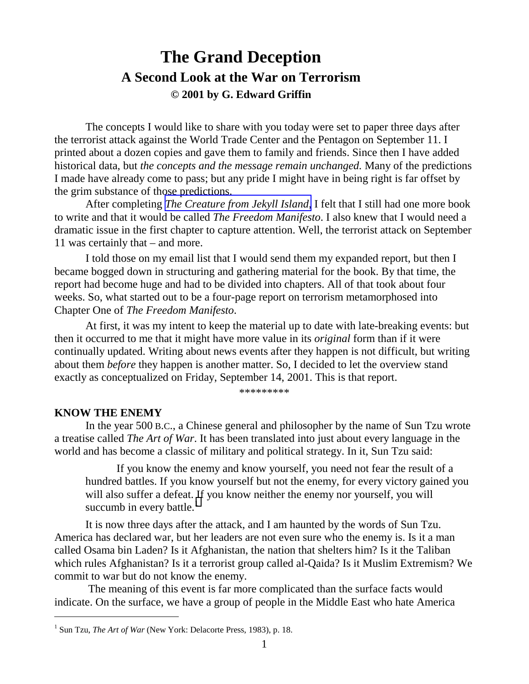# **The Grand Deception A Second Look at the War on Terrorism © 2001 by G. Edward Griffin**

The concepts I would like to share with you today were set to paper three days after the terrorist attack against the World Trade Center and the Pentagon on September 11. I printed about a dozen copies and gave them to family and friends. Since then I have added historical data, but *the concepts and the message remain unchanged.* Many of the predictions I made have already come to pass; but any pride I might have in being right is far offset by the grim substance of those predictions.

After completing *[The Creature from Jekyll Island](http://www.realityzone.com/creatfromjek.html)*, I felt that I still had one more book to write and that it would be called *The Freedom Manifesto*. I also knew that I would need a dramatic issue in the first chapter to capture attention. Well, the terrorist attack on September 11 was certainly that – and more.

I told those on my email list that I would send them my expanded report, but then I became bogged down in structuring and gathering material for the book. By that time, the report had become huge and had to be divided into chapters. All of that took about four weeks. So, what started out to be a four-page report on terrorism metamorphosed into Chapter One of *The Freedom Manifesto*.

At first, it was my intent to keep the material up to date with late-breaking events: but then it occurred to me that it might have more value in its *original* form than if it were continually updated. Writing about news events after they happen is not difficult, but writing about them *before* they happen is another matter. So, I decided to let the overview stand exactly as conceptualized on Friday, September 14, 2001. This is that report.

\*\*\*\*\*\*\*\*\*

#### **KNOW THE ENEMY**

 $\overline{a}$ 

In the year 500 B.C., a Chinese general and philosopher by the name of Sun Tzu wrote a treatise called *The Art of War*. It has been translated into just about every language in the world and has become a classic of military and political strategy. In it, Sun Tzu said:

If you know the enemy and know yourself, you need not fear the result of a hundred battles. If you know yourself but not the enemy, for every victory gained you will also suffer a defeat. If you know neither the enemy nor yourself, you will succumb in every battle. $\frac{1}{1}$ 

It is now three days after the attack, and I am haunted by the words of Sun Tzu. America has declared war, but her leaders are not even sure who the enemy is. Is it a man called Osama bin Laden? Is it Afghanistan, the nation that shelters him? Is it the Taliban which rules Afghanistan? Is it a terrorist group called al-Qaida? Is it Muslim Extremism? We commit to war but do not know the enemy.

 The meaning of this event is far more complicated than the surface facts would indicate. On the surface, we have a group of people in the Middle East who hate America

<sup>&</sup>lt;sup>1</sup> Sun Tzu, *The Art of War* (New York: Delacorte Press, 1983), p. 18.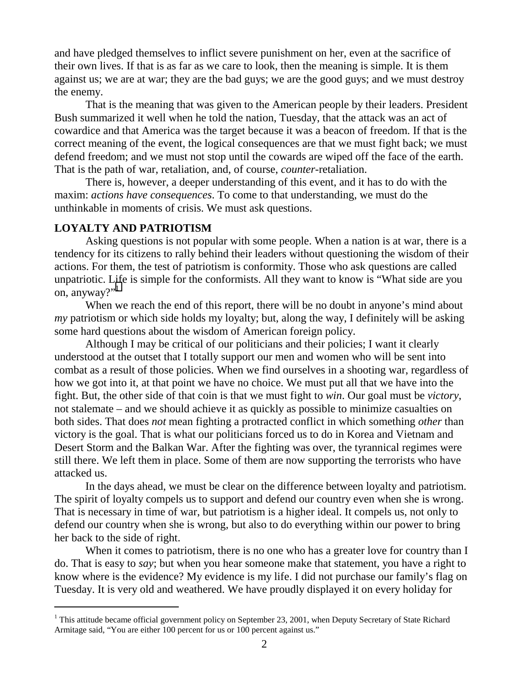and have pledged themselves to inflict severe punishment on her, even at the sacrifice of their own lives. If that is as far as we care to look, then the meaning is simple. It is them against us; we are at war; they are the bad guys; we are the good guys; and we must destroy the enemy.

That is the meaning that was given to the American people by their leaders. President Bush summarized it well when he told the nation, Tuesday, that the attack was an act of cowardice and that America was the target because it was a beacon of freedom. If that is the correct meaning of the event, the logical consequences are that we must fight back; we must defend freedom; and we must not stop until the cowards are wiped off the face of the earth. That is the path of war, retaliation, and, of course, *counter*-retaliation.

There is, however, a deeper understanding of this event, and it has to do with the maxim: *actions have consequences*. To come to that understanding, we must do the unthinkable in moments of crisis. We must ask questions.

#### **LOYALTY AND PATRIOTISM**

 $\overline{a}$ 

Asking questions is not popular with some people. When a nation is at war, there is a tendency for its citizens to rally behind their leaders without questioning the wisdom of their actions. For them, the test of patriotism is conformity. Those who ask questions are called unpatriotic. Life is simple for the conformists. All they want to know is "What side are you on, anyway?"

When we reach the end of this report, there will be no doubt in anyone's mind about *my* patriotism or which side holds my loyalty; but, along the way, I definitely will be asking some hard questions about the wisdom of American foreign policy.

Although I may be critical of our politicians and their policies; I want it clearly understood at the outset that I totally support our men and women who will be sent into combat as a result of those policies. When we find ourselves in a shooting war, regardless of how we got into it, at that point we have no choice. We must put all that we have into the fight. But, the other side of that coin is that we must fight to *win*. Our goal must be *victory*, not stalemate – and we should achieve it as quickly as possible to minimize casualties on both sides. That does *not* mean fighting a protracted conflict in which something *other* than victory is the goal. That is what our politicians forced us to do in Korea and Vietnam and Desert Storm and the Balkan War. After the fighting was over, the tyrannical regimes were still there. We left them in place. Some of them are now supporting the terrorists who have attacked us.

In the days ahead, we must be clear on the difference between loyalty and patriotism. The spirit of loyalty compels us to support and defend our country even when she is wrong. That is necessary in time of war, but patriotism is a higher ideal. It compels us, not only to defend our country when she is wrong, but also to do everything within our power to bring her back to the side of right.

When it comes to patriotism, there is no one who has a greater love for country than I do. That is easy to *say*; but when you hear someone make that statement, you have a right to know where is the evidence? My evidence is my life. I did not purchase our family's flag on Tuesday. It is very old and weathered. We have proudly displayed it on every holiday for

<sup>&</sup>lt;sup>1</sup> This attitude became official government policy on September 23, 2001, when Deputy Secretary of State Richard Armitage said, "You are either 100 percent for us or 100 percent against us."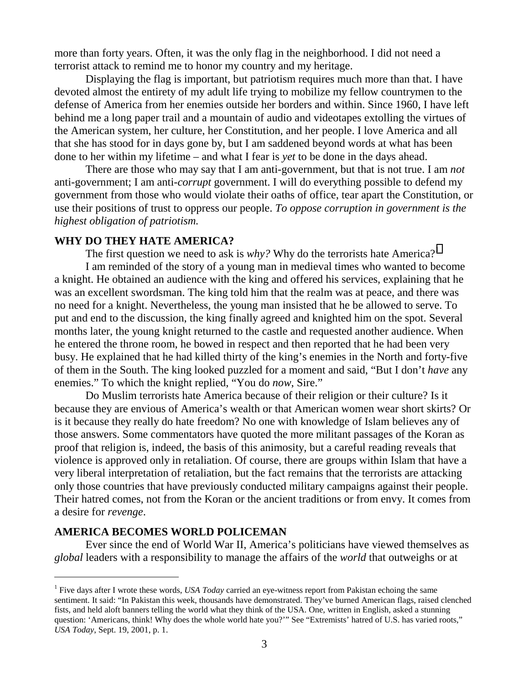more than forty years. Often, it was the only flag in the neighborhood. I did not need a terrorist attack to remind me to honor my country and my heritage.

Displaying the flag is important, but patriotism requires much more than that. I have devoted almost the entirety of my adult life trying to mobilize my fellow countrymen to the defense of America from her enemies outside her borders and within. Since 1960, I have left behind me a long paper trail and a mountain of audio and videotapes extolling the virtues of the American system, her culture, her Constitution, and her people. I love America and all that she has stood for in days gone by, but I am saddened beyond words at what has been done to her within my lifetime – and what I fear is *yet* to be done in the days ahead.

There are those who may say that I am anti-government, but that is not true. I am *not* anti-government; I am anti-*corrupt* government. I will do everything possible to defend my government from those who would violate their oaths of office, tear apart the Constitution, or use their positions of trust to oppress our people. *To oppose corruption in government is the highest obligation of patriotism.* 

#### **WHY DO THEY HATE AMERICA?**

The first question we need to ask is  $whv$ ? Why do the terrorists hate America?<sup>1</sup>

I am reminded of the story of a young man in medieval times who wanted to become a knight. He obtained an audience with the king and offered his services, explaining that he was an excellent swordsman. The king told him that the realm was at peace, and there was no need for a knight. Nevertheless, the young man insisted that he be allowed to serve. To put and end to the discussion, the king finally agreed and knighted him on the spot. Several months later, the young knight returned to the castle and requested another audience. When he entered the throne room, he bowed in respect and then reported that he had been very busy. He explained that he had killed thirty of the king's enemies in the North and forty-five of them in the South. The king looked puzzled for a moment and said, "But I don't *have* any enemies." To which the knight replied, "You do *now*, Sire."

Do Muslim terrorists hate America because of their religion or their culture? Is it because they are envious of America's wealth or that American women wear short skirts? Or is it because they really do hate freedom? No one with knowledge of Islam believes any of those answers. Some commentators have quoted the more militant passages of the Koran as proof that religion is, indeed, the basis of this animosity, but a careful reading reveals that violence is approved only in retaliation. Of course, there are groups within Islam that have a very liberal interpretation of retaliation, but the fact remains that the terrorists are attacking only those countries that have previously conducted military campaigns against their people. Their hatred comes, not from the Koran or the ancient traditions or from envy. It comes from a desire for *revenge*.

#### **AMERICA BECOMES WORLD POLICEMAN**

 $\overline{a}$ 

Ever since the end of World War II, America's politicians have viewed themselves as *global* leaders with a responsibility to manage the affairs of the *world* that outweighs or at

<sup>&</sup>lt;sup>1</sup> Five days after I wrote these words, *USA Today* carried an eye-witness report from Pakistan echoing the same sentiment. It said: "In Pakistan this week, thousands have demonstrated. They've burned American flags, raised clenched fists, and held aloft banners telling the world what they think of the USA. One, written in English, asked a stunning question: 'Americans, think! Why does the whole world hate you?'" See "Extremists' hatred of U.S. has varied roots," *USA Today*, Sept. 19, 2001, p. 1.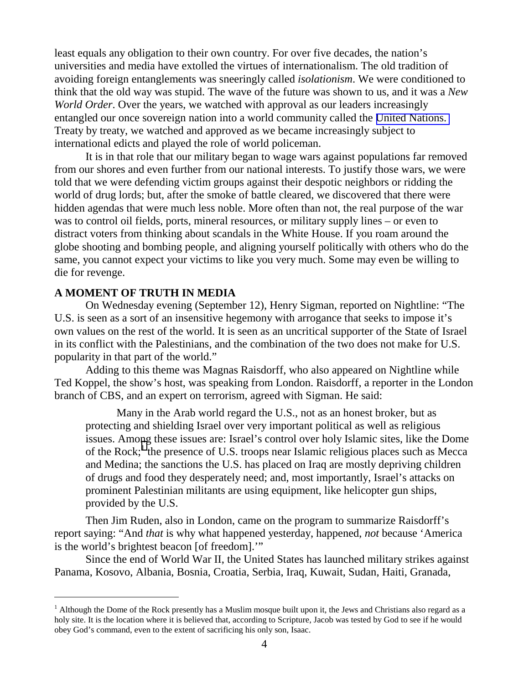least equals any obligation to their own country. For over five decades, the nation's universities and media have extolled the virtues of internationalism. The old tradition of avoiding foreign entanglements was sneeringly called *isolationism*. We were conditioned to think that the old way was stupid. The wave of the future was shown to us, and it was a *New World Order*. Over the years, we watched with approval as our leaders increasingly entangled our once sovereign nation into a world community called the [United Nations.](http://www.realityzone.com/un.html)  Treaty by treaty, we watched and approved as we became increasingly subject to international edicts and played the role of world policeman.

It is in that role that our military began to wage wars against populations far removed from our shores and even further from our national interests. To justify those wars, we were told that we were defending victim groups against their despotic neighbors or ridding the world of drug lords; but, after the smoke of battle cleared, we discovered that there were hidden agendas that were much less noble. More often than not, the real purpose of the war was to control oil fields, ports, mineral resources, or military supply lines – or even to distract voters from thinking about scandals in the White House. If you roam around the globe shooting and bombing people, and aligning yourself politically with others who do the same, you cannot expect your victims to like you very much. Some may even be willing to die for revenge.

#### **A MOMENT OF TRUTH IN MEDIA**

On Wednesday evening (September 12), Henry Sigman, reported on Nightline: "The U.S. is seen as a sort of an insensitive hegemony with arrogance that seeks to impose it's own values on the rest of the world. It is seen as an uncritical supporter of the State of Israel in its conflict with the Palestinians, and the combination of the two does not make for U.S. popularity in that part of the world."

Adding to this theme was Magnas Raisdorff, who also appeared on Nightline while Ted Koppel, the show's host, was speaking from London. Raisdorff, a reporter in the London branch of CBS, and an expert on terrorism, agreed with Sigman. He said:

Many in the Arab world regard the U.S., not as an honest broker, but as protecting and shielding Israel over very important political as well as religious issues. Among these issues are: Israel's control over holy Islamic sites, like the Dome of the Rock;<sup>1</sup> the presence of U.S. troops near Islamic religious places such as Mecca and Medina; the sanctions the U.S. has placed on Iraq are mostly depriving children of drugs and food they desperately need; and, most importantly, Israel's attacks on prominent Palestinian militants are using equipment, like helicopter gun ships, provided by the U.S.

Then Jim Ruden, also in London, came on the program to summarize Raisdorff's report saying: "And *that* is why what happened yesterday, happened, *not* because 'America is the world's brightest beacon [of freedom].'"

Since the end of World War II, the United States has launched military strikes against Panama, Kosovo, Albania, Bosnia, Croatia, Serbia, Iraq, Kuwait, Sudan, Haiti, Granada,

 $1$  Although the Dome of the Rock presently has a Muslim mosque built upon it, the Jews and Christians also regard as a holy site. It is the location where it is believed that, according to Scripture, Jacob was tested by God to see if he would obey God's command, even to the extent of sacrificing his only son, Isaac.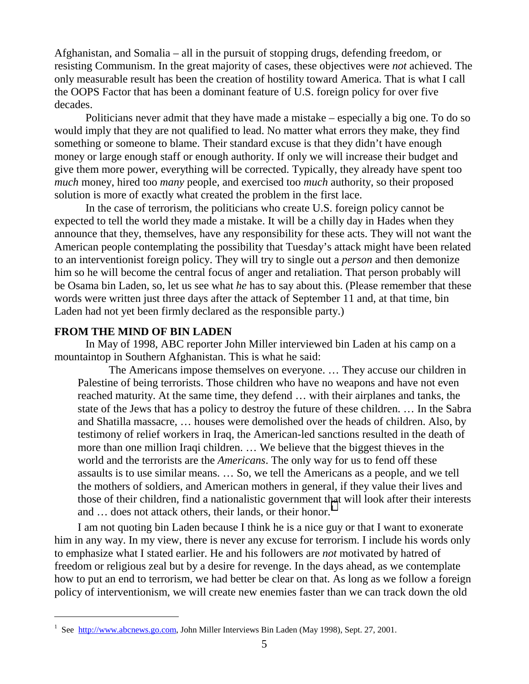Afghanistan, and Somalia – all in the pursuit of stopping drugs, defending freedom, or resisting Communism. In the great majority of cases, these objectives were *not* achieved. The only measurable result has been the creation of hostility toward America. That is what I call the OOPS Factor that has been a dominant feature of U.S. foreign policy for over five decades.

Politicians never admit that they have made a mistake – especially a big one. To do so would imply that they are not qualified to lead. No matter what errors they make, they find something or someone to blame. Their standard excuse is that they didn't have enough money or large enough staff or enough authority. If only we will increase their budget and give them more power, everything will be corrected. Typically, they already have spent too *much* money, hired too *many* people, and exercised too *much* authority, so their proposed solution is more of exactly what created the problem in the first lace.

In the case of terrorism, the politicians who create U.S. foreign policy cannot be expected to tell the world they made a mistake. It will be a chilly day in Hades when they announce that they, themselves, have any responsibility for these acts. They will not want the American people contemplating the possibility that Tuesday's attack might have been related to an interventionist foreign policy. They will try to single out a *person* and then demonize him so he will become the central focus of anger and retaliation. That person probably will be Osama bin Laden, so, let us see what *he* has to say about this. (Please remember that these words were written just three days after the attack of September 11 and, at that time, bin Laden had not yet been firmly declared as the responsible party.)

#### **FROM THE MIND OF BIN LADEN**

 $\overline{a}$ 

In May of 1998, ABC reporter John Miller interviewed bin Laden at his camp on a mountaintop in Southern Afghanistan. This is what he said:

The Americans impose themselves on everyone. … They accuse our children in Palestine of being terrorists. Those children who have no weapons and have not even reached maturity. At the same time, they defend … with their airplanes and tanks, the state of the Jews that has a policy to destroy the future of these children. … In the Sabra and Shatilla massacre, … houses were demolished over the heads of children. Also, by testimony of relief workers in Iraq, the American-led sanctions resulted in the death of more than one million Iraqi children. … We believe that the biggest thieves in the world and the terrorists are the *Americans*. The only way for us to fend off these assaults is to use similar means. … So, we tell the Americans as a people, and we tell the mothers of soldiers, and American mothers in general, if they value their lives and those of their children, find a nationalistic government that will look after their interests and ... does not attack others, their lands, or their honor.<sup>1</sup>

I am not quoting bin Laden because I think he is a nice guy or that I want to exonerate him in any way. In my view, there is never any excuse for terrorism. I include his words only to emphasize what I stated earlier. He and his followers are *not* motivated by hatred of freedom or religious zeal but by a desire for revenge. In the days ahead, as we contemplate how to put an end to terrorism, we had better be clear on that. As long as we follow a foreign policy of interventionism, we will create new enemies faster than we can track down the old

<sup>&</sup>lt;sup>1</sup> See  $\frac{\text{http://www.abcnews.gov.com}}{\text{http://www.abcnews.gov.com}}$ , John Miller Interviews Bin Laden (May 1998), Sept. 27, 2001.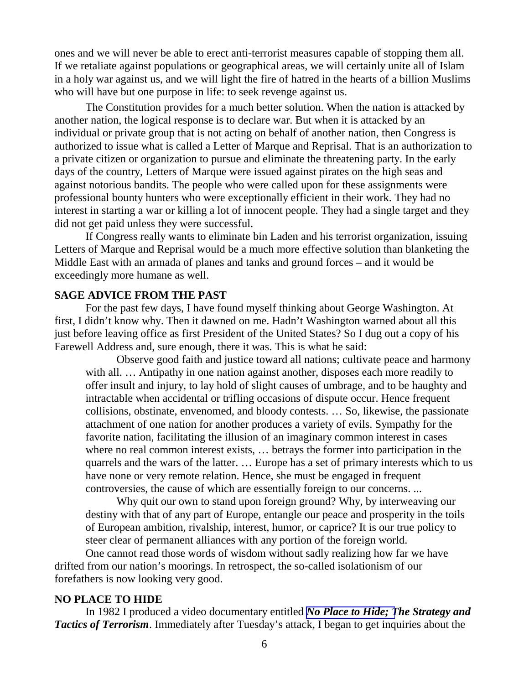ones and we will never be able to erect anti-terrorist measures capable of stopping them all. If we retaliate against populations or geographical areas, we will certainly unite all of Islam in a holy war against us, and we will light the fire of hatred in the hearts of a billion Muslims who will have but one purpose in life: to seek revenge against us.

The Constitution provides for a much better solution. When the nation is attacked by another nation, the logical response is to declare war. But when it is attacked by an individual or private group that is not acting on behalf of another nation, then Congress is authorized to issue what is called a Letter of Marque and Reprisal. That is an authorization to a private citizen or organization to pursue and eliminate the threatening party. In the early days of the country, Letters of Marque were issued against pirates on the high seas and against notorious bandits. The people who were called upon for these assignments were professional bounty hunters who were exceptionally efficient in their work. They had no interest in starting a war or killing a lot of innocent people. They had a single target and they did not get paid unless they were successful.

If Congress really wants to eliminate bin Laden and his terrorist organization, issuing Letters of Marque and Reprisal would be a much more effective solution than blanketing the Middle East with an armada of planes and tanks and ground forces – and it would be exceedingly more humane as well.

#### **SAGE ADVICE FROM THE PAST**

For the past few days, I have found myself thinking about George Washington. At first, I didn't know why. Then it dawned on me. Hadn't Washington warned about all this just before leaving office as first President of the United States? So I dug out a copy of his Farewell Address and, sure enough, there it was. This is what he said:

Observe good faith and justice toward all nations; cultivate peace and harmony with all. ... Antipathy in one nation against another, disposes each more readily to offer insult and injury, to lay hold of slight causes of umbrage, and to be haughty and intractable when accidental or trifling occasions of dispute occur. Hence frequent collisions, obstinate, envenomed, and bloody contests. … So, likewise, the passionate attachment of one nation for another produces a variety of evils. Sympathy for the favorite nation, facilitating the illusion of an imaginary common interest in cases where no real common interest exists, … betrays the former into participation in the quarrels and the wars of the latter. … Europe has a set of primary interests which to us have none or very remote relation. Hence, she must be engaged in frequent controversies, the cause of which are essentially foreign to our concerns. ...

Why quit our own to stand upon foreign ground? Why, by interweaving our destiny with that of any part of Europe, entangle our peace and prosperity in the toils of European ambition, rivalship, interest, humor, or caprice? It is our true policy to steer clear of permanent alliances with any portion of the foreign world.

One cannot read those words of wisdom without sadly realizing how far we have drifted from our nation's moorings. In retrospect, the so-called isolationism of our forefathers is now looking very good.

#### **NO PLACE TO HIDE**

In 1982 I produced a video documentary entitled *[No Place to Hide; T](http://www.realityzone.com/noplacetohide.html)he Strategy and Tactics of Terrorism*. Immediately after Tuesday's attack, I began to get inquiries about the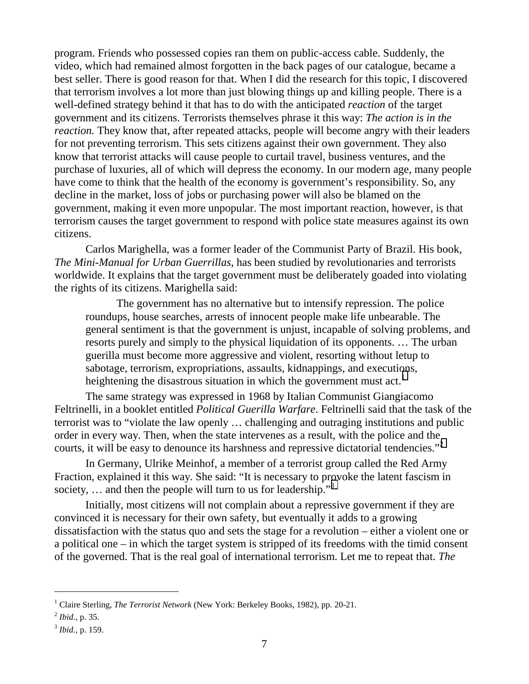program. Friends who possessed copies ran them on public-access cable. Suddenly, the video, which had remained almost forgotten in the back pages of our catalogue, became a best seller. There is good reason for that. When I did the research for this topic, I discovered that terrorism involves a lot more than just blowing things up and killing people. There is a well-defined strategy behind it that has to do with the anticipated *reaction* of the target government and its citizens. Terrorists themselves phrase it this way: *The action is in the reaction*. They know that, after repeated attacks, people will become angry with their leaders for not preventing terrorism. This sets citizens against their own government. They also know that terrorist attacks will cause people to curtail travel, business ventures, and the purchase of luxuries, all of which will depress the economy. In our modern age, many people have come to think that the health of the economy is government's responsibility. So, any decline in the market, loss of jobs or purchasing power will also be blamed on the government, making it even more unpopular. The most important reaction, however, is that terrorism causes the target government to respond with police state measures against its own citizens.

Carlos Marighella, was a former leader of the Communist Party of Brazil. His book, *The Mini-Manual for Urban Guerrillas*, has been studied by revolutionaries and terrorists worldwide. It explains that the target government must be deliberately goaded into violating the rights of its citizens. Marighella said:

The government has no alternative but to intensify repression. The police roundups, house searches, arrests of innocent people make life unbearable. The general sentiment is that the government is unjust, incapable of solving problems, and resorts purely and simply to the physical liquidation of its opponents. … The urban guerilla must become more aggressive and violent, resorting without letup to sabotage, terrorism, expropriations, assaults, kidnappings, and executions, heightening the disastrous situation in which the government must  $act<sup>1</sup>$ .

The same strategy was expressed in 1968 by Italian Communist Giangiacomo Feltrinelli, in a booklet entitled *Political Guerilla Warfare*. Feltrinelli said that the task of the terrorist was to "violate the law openly … challenging and outraging institutions and public order in every way. Then, when the state intervenes as a result, with the police and the courts, it will be easy to denounce its harshness and repressive dictatorial tendencies."<sup>2</sup>

In Germany, Ulrike Meinhof, a member of a terrorist group called the Red Army Fraction, explained it this way. She said: "It is necessary to provoke the latent fascism in society, ... and then the people will turn to us for leadership."<sup>3</sup>

Initially, most citizens will not complain about a repressive government if they are convinced it is necessary for their own safety, but eventually it adds to a growing dissatisfaction with the status quo and sets the stage for a revolution – either a violent one or a political one – in which the target system is stripped of its freedoms with the timid consent of the governed. That is the real goal of international terrorism. Let me to repeat that. *The* 

 $\overline{a}$ 

<sup>&</sup>lt;sup>1</sup> Claire Sterling, *The Terrorist Network* (New York: Berkeley Books, 1982), pp. 20-21.<br><sup>2</sup> *Ibid.*, p. 35. 3 *Ibid.*, p. 159.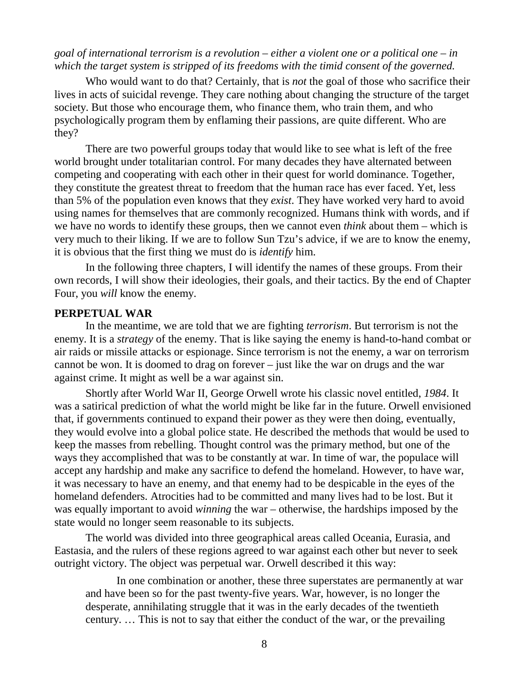*goal of international terrorism is a revolution – either a violent one or a political one – in which the target system is stripped of its freedoms with the timid consent of the governed.* 

Who would want to do that? Certainly, that is *not* the goal of those who sacrifice their lives in acts of suicidal revenge. They care nothing about changing the structure of the target society. But those who encourage them, who finance them, who train them, and who psychologically program them by enflaming their passions, are quite different. Who are they?

There are two powerful groups today that would like to see what is left of the free world brought under totalitarian control. For many decades they have alternated between competing and cooperating with each other in their quest for world dominance. Together, they constitute the greatest threat to freedom that the human race has ever faced. Yet, less than 5% of the population even knows that they *exist*. They have worked very hard to avoid using names for themselves that are commonly recognized. Humans think with words, and if we have no words to identify these groups, then we cannot even *think* about them – which is very much to their liking. If we are to follow Sun Tzu's advice, if we are to know the enemy, it is obvious that the first thing we must do is *identify* him.

In the following three chapters, I will identify the names of these groups. From their own records, I will show their ideologies, their goals, and their tactics. By the end of Chapter Four, you *will* know the enemy.

#### **PERPETUAL WAR**

In the meantime, we are told that we are fighting *terrorism*. But terrorism is not the enemy. It is a *strategy* of the enemy. That is like saying the enemy is hand-to-hand combat or air raids or missile attacks or espionage. Since terrorism is not the enemy, a war on terrorism cannot be won. It is doomed to drag on forever – just like the war on drugs and the war against crime. It might as well be a war against sin.

Shortly after World War II, George Orwell wrote his classic novel entitled, *1984*. It was a satirical prediction of what the world might be like far in the future. Orwell envisioned that, if governments continued to expand their power as they were then doing, eventually, they would evolve into a global police state. He described the methods that would be used to keep the masses from rebelling. Thought control was the primary method, but one of the ways they accomplished that was to be constantly at war. In time of war, the populace will accept any hardship and make any sacrifice to defend the homeland. However, to have war, it was necessary to have an enemy, and that enemy had to be despicable in the eyes of the homeland defenders. Atrocities had to be committed and many lives had to be lost. But it was equally important to avoid *winning* the war – otherwise, the hardships imposed by the state would no longer seem reasonable to its subjects.

The world was divided into three geographical areas called Oceania, Eurasia, and Eastasia, and the rulers of these regions agreed to war against each other but never to seek outright victory. The object was perpetual war. Orwell described it this way:

In one combination or another, these three superstates are permanently at war and have been so for the past twenty-five years. War, however, is no longer the desperate, annihilating struggle that it was in the early decades of the twentieth century. … This is not to say that either the conduct of the war, or the prevailing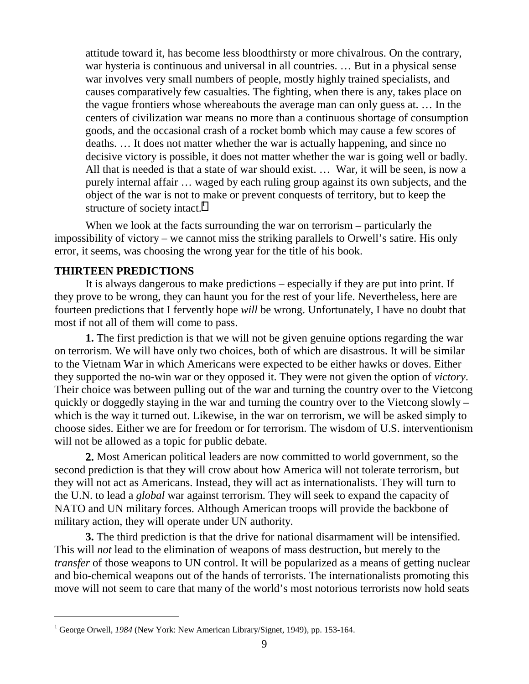attitude toward it, has become less bloodthirsty or more chivalrous. On the contrary, war hysteria is continuous and universal in all countries. … But in a physical sense war involves very small numbers of people, mostly highly trained specialists, and causes comparatively few casualties. The fighting, when there is any, takes place on the vague frontiers whose whereabouts the average man can only guess at. … In the centers of civilization war means no more than a continuous shortage of consumption goods, and the occasional crash of a rocket bomb which may cause a few scores of deaths. … It does not matter whether the war is actually happening, and since no decisive victory is possible, it does not matter whether the war is going well or badly. All that is needed is that a state of war should exist. … War, it will be seen, is now a purely internal affair … waged by each ruling group against its own subjects, and the object of the war is not to make or prevent conquests of territory, but to keep the structure of society intact. $1$ 

When we look at the facts surrounding the war on terrorism – particularly the impossibility of victory – we cannot miss the striking parallels to Orwell's satire. His only error, it seems, was choosing the wrong year for the title of his book.

#### **THIRTEEN PREDICTIONS**

 $\overline{a}$ 

It is always dangerous to make predictions – especially if they are put into print. If they prove to be wrong, they can haunt you for the rest of your life. Nevertheless, here are fourteen predictions that I fervently hope *will* be wrong. Unfortunately, I have no doubt that most if not all of them will come to pass.

**1.** The first prediction is that we will not be given genuine options regarding the war on terrorism. We will have only two choices, both of which are disastrous. It will be similar to the Vietnam War in which Americans were expected to be either hawks or doves. Either they supported the no-win war or they opposed it. They were not given the option of *victory*. Their choice was between pulling out of the war and turning the country over to the Vietcong quickly or doggedly staying in the war and turning the country over to the Vietcong slowly – which is the way it turned out. Likewise, in the war on terrorism, we will be asked simply to choose sides. Either we are for freedom or for terrorism. The wisdom of U.S. interventionism will not be allowed as a topic for public debate.

**2.** Most American political leaders are now committed to world government, so the second prediction is that they will crow about how America will not tolerate terrorism, but they will not act as Americans. Instead, they will act as internationalists. They will turn to the U.N. to lead a *global* war against terrorism. They will seek to expand the capacity of NATO and UN military forces. Although American troops will provide the backbone of military action, they will operate under UN authority.

**3.** The third prediction is that the drive for national disarmament will be intensified. This will *not* lead to the elimination of weapons of mass destruction, but merely to the *transfer* of those weapons to UN control. It will be popularized as a means of getting nuclear and bio-chemical weapons out of the hands of terrorists. The internationalists promoting this move will not seem to care that many of the world's most notorious terrorists now hold seats

<sup>&</sup>lt;sup>1</sup> George Orwell, *1984* (New York: New American Library/Signet, 1949), pp. 153-164.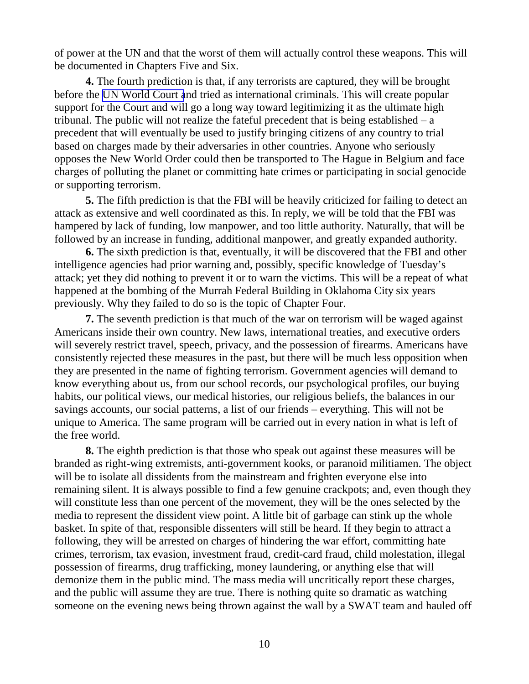of power at the UN and that the worst of them will actually control these weapons. This will be documented in Chapters Five and Six.

**4.** The fourth prediction is that, if any terrorists are captured, they will be brought before the [UN World Court a](http://www.realityzone.com/injustice.html)nd tried as international criminals. This will create popular support for the Court and will go a long way toward legitimizing it as the ultimate high tribunal. The public will not realize the fateful precedent that is being established – a precedent that will eventually be used to justify bringing citizens of any country to trial based on charges made by their adversaries in other countries. Anyone who seriously opposes the New World Order could then be transported to The Hague in Belgium and face charges of polluting the planet or committing hate crimes or participating in social genocide or supporting terrorism.

**5.** The fifth prediction is that the FBI will be heavily criticized for failing to detect an attack as extensive and well coordinated as this. In reply, we will be told that the FBI was hampered by lack of funding, low manpower, and too little authority. Naturally, that will be followed by an increase in funding, additional manpower, and greatly expanded authority.

**6.** The sixth prediction is that, eventually, it will be discovered that the FBI and other intelligence agencies had prior warning and, possibly, specific knowledge of Tuesday's attack; yet they did nothing to prevent it or to warn the victims. This will be a repeat of what happened at the bombing of the Murrah Federal Building in Oklahoma City six years previously. Why they failed to do so is the topic of Chapter Four.

**7.** The seventh prediction is that much of the war on terrorism will be waged against Americans inside their own country. New laws, international treaties, and executive orders will severely restrict travel, speech, privacy, and the possession of firearms. Americans have consistently rejected these measures in the past, but there will be much less opposition when they are presented in the name of fighting terrorism. Government agencies will demand to know everything about us, from our school records, our psychological profiles, our buying habits, our political views, our medical histories, our religious beliefs, the balances in our savings accounts, our social patterns, a list of our friends – everything. This will not be unique to America. The same program will be carried out in every nation in what is left of the free world.

**8.** The eighth prediction is that those who speak out against these measures will be branded as right-wing extremists, anti-government kooks, or paranoid militiamen. The object will be to isolate all dissidents from the mainstream and frighten everyone else into remaining silent. It is always possible to find a few genuine crackpots; and, even though they will constitute less than one percent of the movement, they will be the ones selected by the media to represent the dissident view point. A little bit of garbage can stink up the whole basket. In spite of that, responsible dissenters will still be heard. If they begin to attract a following, they will be arrested on charges of hindering the war effort, committing hate crimes, terrorism, tax evasion, investment fraud, credit-card fraud, child molestation, illegal possession of firearms, drug trafficking, money laundering, or anything else that will demonize them in the public mind. The mass media will uncritically report these charges, and the public will assume they are true. There is nothing quite so dramatic as watching someone on the evening news being thrown against the wall by a SWAT team and hauled off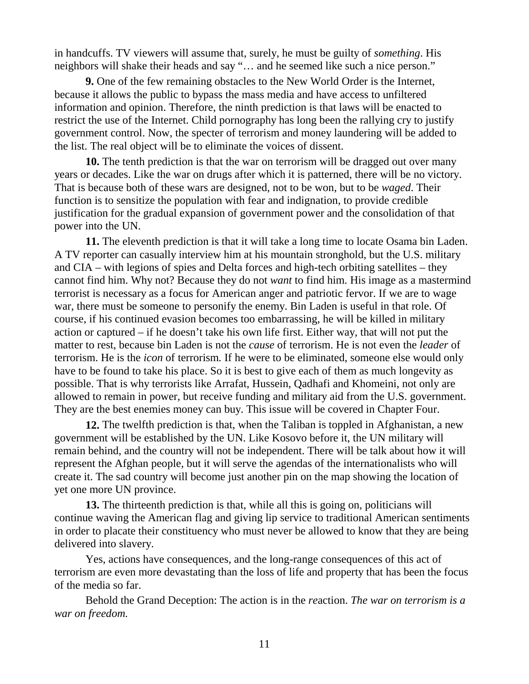in handcuffs. TV viewers will assume that, surely, he must be guilty of *something*. His neighbors will shake their heads and say "… and he seemed like such a nice person."

**9.** One of the few remaining obstacles to the New World Order is the Internet, because it allows the public to bypass the mass media and have access to unfiltered information and opinion. Therefore, the ninth prediction is that laws will be enacted to restrict the use of the Internet. Child pornography has long been the rallying cry to justify government control. Now, the specter of terrorism and money laundering will be added to the list. The real object will be to eliminate the voices of dissent.

**10.** The tenth prediction is that the war on terrorism will be dragged out over many years or decades. Like the war on drugs after which it is patterned, there will be no victory. That is because both of these wars are designed, not to be won, but to be *waged*. Their function is to sensitize the population with fear and indignation, to provide credible justification for the gradual expansion of government power and the consolidation of that power into the UN.

**11.** The eleventh prediction is that it will take a long time to locate Osama bin Laden. A TV reporter can casually interview him at his mountain stronghold, but the U.S. military and CIA – with legions of spies and Delta forces and high-tech orbiting satellites – they cannot find him. Why not? Because they do not *want* to find him. His image as a mastermind terrorist is necessary as a focus for American anger and patriotic fervor. If we are to wage war, there must be someone to personify the enemy. Bin Laden is useful in that role. Of course, if his continued evasion becomes too embarrassing, he will be killed in military action or captured – if he doesn't take his own life first. Either way, that will not put the matter to rest, because bin Laden is not the *cause* of terrorism. He is not even the *leader* of terrorism. He is the *icon* of terrorism*.* If he were to be eliminated, someone else would only have to be found to take his place. So it is best to give each of them as much longevity as possible. That is why terrorists like Arrafat, Hussein, Qadhafi and Khomeini, not only are allowed to remain in power, but receive funding and military aid from the U.S. government. They are the best enemies money can buy. This issue will be covered in Chapter Four.

**12.** The twelfth prediction is that, when the Taliban is toppled in Afghanistan, a new government will be established by the UN. Like Kosovo before it, the UN military will remain behind, and the country will not be independent. There will be talk about how it will represent the Afghan people, but it will serve the agendas of the internationalists who will create it. The sad country will become just another pin on the map showing the location of yet one more UN province.

**13.** The thirteenth prediction is that, while all this is going on, politicians will continue waving the American flag and giving lip service to traditional American sentiments in order to placate their constituency who must never be allowed to know that they are being delivered into slavery.

Yes, actions have consequences, and the long-range consequences of this act of terrorism are even more devastating than the loss of life and property that has been the focus of the media so far.

Behold the Grand Deception: The action is in the *re*action. *The war on terrorism is a war on freedom.*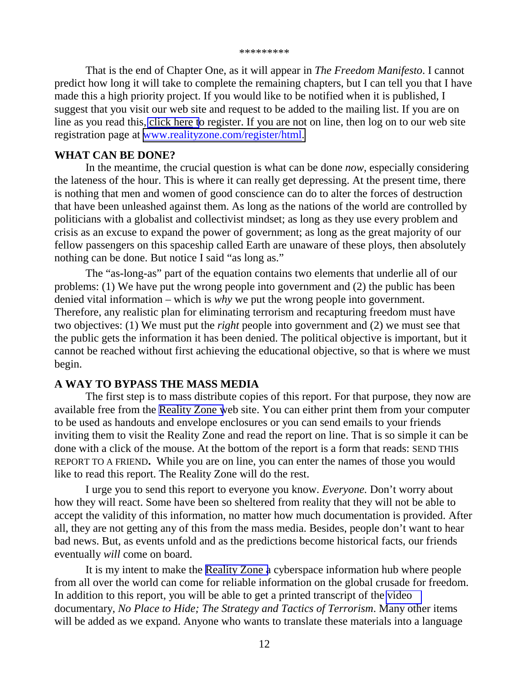#### \*\*\*\*\*\*\*\*\*

That is the end of Chapter One, as it will appear in *The Freedom Manifesto*. I cannot predict how long it will take to complete the remaining chapters, but I can tell you that I have made this a high priority project. If you would like to be notified when it is published, I suggest that you visit our web site and request to be added to the mailing list. If you are on line as you read this, [click here t](http://www.realityzone.com/ourcrusade.html)o register. If you are not on line, then log on to our web site registration page at [www.realityzone.com/register/html.](http://www.realityzone.com/ourcrusade.html) 

#### **WHAT CAN BE DONE?**

In the meantime, the crucial question is what can be done *now*, especially considering the lateness of the hour. This is where it can really get depressing. At the present time, there is nothing that men and women of good conscience can do to alter the forces of destruction that have been unleashed against them. As long as the nations of the world are controlled by politicians with a globalist and collectivist mindset; as long as they use every problem and crisis as an excuse to expand the power of government; as long as the great majority of our fellow passengers on this spaceship called Earth are unaware of these ploys, then absolutely nothing can be done. But notice I said "as long as."

The "as-long-as" part of the equation contains two elements that underlie all of our problems: (1) We have put the wrong people into government and (2) the public has been denied vital information – which is *why* we put the wrong people into government. Therefore, any realistic plan for eliminating terrorism and recapturing freedom must have two objectives: (1) We must put the *right* people into government and (2) we must see that the public gets the information it has been denied. The political objective is important, but it cannot be reached without first achieving the educational objective, so that is where we must begin.

#### **A WAY TO BYPASS THE MASS MEDIA**

The first step is to mass distribute copies of this report. For that purpose, they now are available free from the [Reality Zone w](http://www.realityzone.com)eb site. You can either print them from your computer to be used as handouts and envelope enclosures or you can send emails to your friends inviting them to visit the Reality Zone and read the report on line. That is so simple it can be done with a click of the mouse. At the bottom of the report is a form that reads: SEND THIS REPORT TO A FRIEND**.** While you are on line, you can enter the names of those you would like to read this report. The Reality Zone will do the rest.

I urge you to send this report to everyone you know. *Everyone.* Don't worry about how they will react. Some have been so sheltered from reality that they will not be able to accept the validity of this information, no matter how much documentation is provided. After all, they are not getting any of this from the mass media. Besides, people don't want to hear bad news. But, as events unfold and as the predictions become historical facts, our friends eventually *will* come on board.

It is my intent to make the [Reality Zone a](http://www.realityzone.com) cyberspace information hub where people from all over the world can come for reliable information on the global crusade for freedom. In addition to this report, you will be able to get a printed transcript of the [video](http://www.realityzone.com/noplacetohide.html)  documentary, *No Place to Hide; The Strategy and Tactics of Terrorism*. Many other items will be added as we expand. Anyone who wants to translate these materials into a language